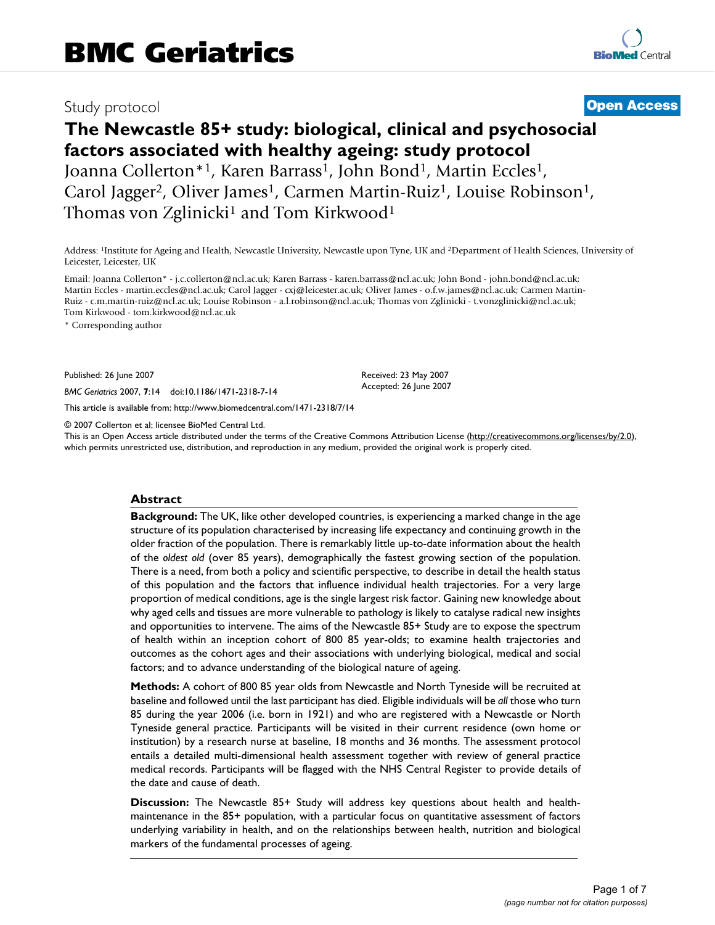## Study protocol **[Open Access](http://www.biomedcentral.com/info/about/charter/)**

# **The Newcastle 85+ study: biological, clinical and psychosocial factors associated with healthy ageing: study protocol** Joanna Collerton\*<sup>1</sup>, Karen Barrass<sup>1</sup>, John Bond<sup>1</sup>, Martin Eccles<sup>1</sup>, Carol Jagger<sup>2</sup>, Oliver James<sup>1</sup>, Carmen Martin-Ruiz<sup>1</sup>, Louise Robinson<sup>1</sup>, Thomas von Zglinicki<sup>1</sup> and Tom Kirkwood<sup>1</sup>

Address: 1Institute for Ageing and Health, Newcastle University, Newcastle upon Tyne, UK and 2Department of Health Sciences, University of Leicester, Leicester, UK

Email: Joanna Collerton\* - j.c.collerton@ncl.ac.uk; Karen Barrass - karen.barrass@ncl.ac.uk; John Bond - john.bond@ncl.ac.uk; Martin Eccles - martin.eccles@ncl.ac.uk; Carol Jagger - cxj@leicester.ac.uk; Oliver James - o.f.w.james@ncl.ac.uk; Carmen Martin-Ruiz - c.m.martin-ruiz@ncl.ac.uk; Louise Robinson - a.l.robinson@ncl.ac.uk; Thomas von Zglinicki - t.vonzglinicki@ncl.ac.uk; Tom Kirkwood - tom.kirkwood@ncl.ac.uk

\* Corresponding author

Published: 26 June 2007

*BMC Geriatrics* 2007, **7**:14 doi:10.1186/1471-2318-7-14

[This article is available from: http://www.biomedcentral.com/1471-2318/7/14](http://www.biomedcentral.com/1471-2318/7/14)

© 2007 Collerton et al; licensee BioMed Central Ltd.

This is an Open Access article distributed under the terms of the Creative Commons Attribution License [\(http://creativecommons.org/licenses/by/2.0\)](http://creativecommons.org/licenses/by/2.0), which permits unrestricted use, distribution, and reproduction in any medium, provided the original work is properly cited.

Received: 23 May 2007 Accepted: 26 June 2007

#### **Abstract**

**Background:** The UK, like other developed countries, is experiencing a marked change in the age structure of its population characterised by increasing life expectancy and continuing growth in the older fraction of the population. There is remarkably little up-to-date information about the health of the *oldest old* (over 85 years), demographically the fastest growing section of the population. There is a need, from both a policy and scientific perspective, to describe in detail the health status of this population and the factors that influence individual health trajectories. For a very large proportion of medical conditions, age is the single largest risk factor. Gaining new knowledge about why aged cells and tissues are more vulnerable to pathology is likely to catalyse radical new insights and opportunities to intervene. The aims of the Newcastle 85+ Study are to expose the spectrum of health within an inception cohort of 800 85 year-olds; to examine health trajectories and outcomes as the cohort ages and their associations with underlying biological, medical and social factors; and to advance understanding of the biological nature of ageing.

**Methods:** A cohort of 800 85 year olds from Newcastle and North Tyneside will be recruited at baseline and followed until the last participant has died. Eligible individuals will be *all* those who turn 85 during the year 2006 (i.e. born in 1921) and who are registered with a Newcastle or North Tyneside general practice. Participants will be visited in their current residence (own home or institution) by a research nurse at baseline, 18 months and 36 months. The assessment protocol entails a detailed multi-dimensional health assessment together with review of general practice medical records. Participants will be flagged with the NHS Central Register to provide details of the date and cause of death.

**Discussion:** The Newcastle 85+ Study will address key questions about health and healthmaintenance in the 85+ population, with a particular focus on quantitative assessment of factors underlying variability in health, and on the relationships between health, nutrition and biological markers of the fundamental processes of ageing.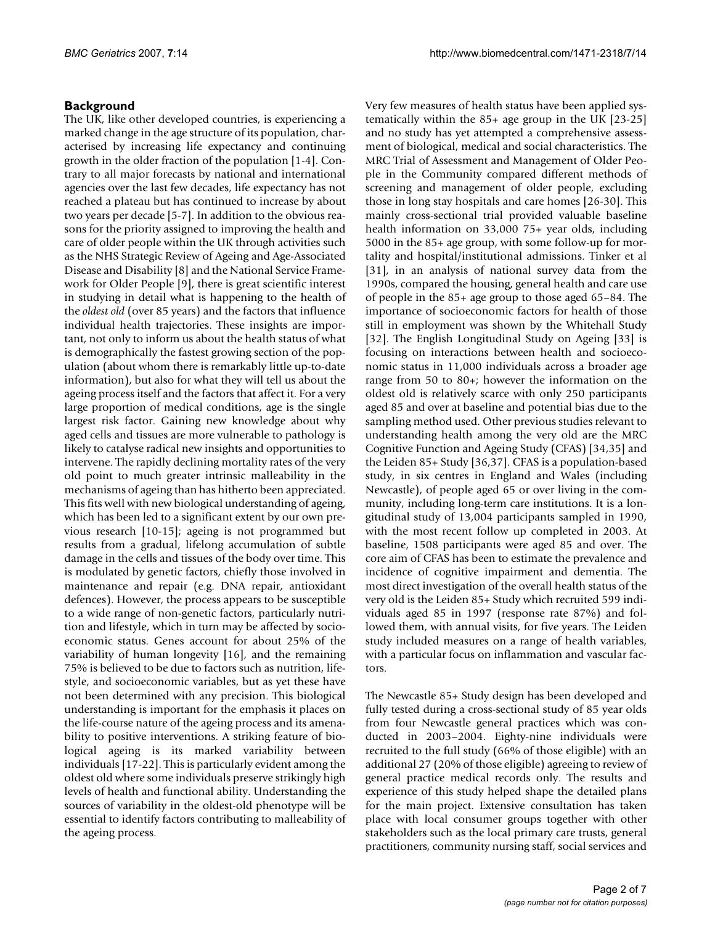#### **Background**

The UK, like other developed countries, is experiencing a marked change in the age structure of its population, characterised by increasing life expectancy and continuing growth in the older fraction of the population [1-4]. Contrary to all major forecasts by national and international agencies over the last few decades, life expectancy has not reached a plateau but has continued to increase by about two years per decade [5-7]. In addition to the obvious reasons for the priority assigned to improving the health and care of older people within the UK through activities such as the NHS Strategic Review of Ageing and Age-Associated Disease and Disability [8] and the National Service Framework for Older People [9], there is great scientific interest in studying in detail what is happening to the health of the *oldest old* (over 85 years) and the factors that influence individual health trajectories. These insights are important, not only to inform us about the health status of what is demographically the fastest growing section of the population (about whom there is remarkably little up-to-date information), but also for what they will tell us about the ageing process itself and the factors that affect it. For a very large proportion of medical conditions, age is the single largest risk factor. Gaining new knowledge about why aged cells and tissues are more vulnerable to pathology is likely to catalyse radical new insights and opportunities to intervene. The rapidly declining mortality rates of the very old point to much greater intrinsic malleability in the mechanisms of ageing than has hitherto been appreciated. This fits well with new biological understanding of ageing, which has been led to a significant extent by our own previous research [10-15]; ageing is not programmed but results from a gradual, lifelong accumulation of subtle damage in the cells and tissues of the body over time. This is modulated by genetic factors, chiefly those involved in maintenance and repair (e.g. DNA repair, antioxidant defences). However, the process appears to be susceptible to a wide range of non-genetic factors, particularly nutrition and lifestyle, which in turn may be affected by socioeconomic status. Genes account for about 25% of the variability of human longevity [16], and the remaining 75% is believed to be due to factors such as nutrition, lifestyle, and socioeconomic variables, but as yet these have not been determined with any precision. This biological understanding is important for the emphasis it places on the life-course nature of the ageing process and its amenability to positive interventions. A striking feature of biological ageing is its marked variability between individuals [17-22]. This is particularly evident among the oldest old where some individuals preserve strikingly high levels of health and functional ability. Understanding the sources of variability in the oldest-old phenotype will be essential to identify factors contributing to malleability of the ageing process.

Very few measures of health status have been applied systematically within the 85+ age group in the UK [23-25] and no study has yet attempted a comprehensive assessment of biological, medical and social characteristics. The MRC Trial of Assessment and Management of Older People in the Community compared different methods of screening and management of older people, excluding those in long stay hospitals and care homes [26-30]. This mainly cross-sectional trial provided valuable baseline health information on 33,000 75+ year olds, including 5000 in the 85+ age group, with some follow-up for mortality and hospital/institutional admissions. Tinker et al [31], in an analysis of national survey data from the 1990s, compared the housing, general health and care use of people in the 85+ age group to those aged 65–84. The importance of socioeconomic factors for health of those still in employment was shown by the Whitehall Study [32]. The English Longitudinal Study on Ageing [33] is focusing on interactions between health and socioeconomic status in 11,000 individuals across a broader age range from 50 to 80+; however the information on the oldest old is relatively scarce with only 250 participants aged 85 and over at baseline and potential bias due to the sampling method used. Other previous studies relevant to understanding health among the very old are the MRC Cognitive Function and Ageing Study (CFAS) [34,35] and the Leiden 85+ Study [36,37]. CFAS is a population-based study, in six centres in England and Wales (including Newcastle), of people aged 65 or over living in the community, including long-term care institutions. It is a longitudinal study of 13,004 participants sampled in 1990, with the most recent follow up completed in 2003. At baseline, 1508 participants were aged 85 and over. The core aim of CFAS has been to estimate the prevalence and incidence of cognitive impairment and dementia. The most direct investigation of the overall health status of the very old is the Leiden 85+ Study which recruited 599 individuals aged 85 in 1997 (response rate 87%) and followed them, with annual visits, for five years. The Leiden study included measures on a range of health variables, with a particular focus on inflammation and vascular factors.

The Newcastle 85+ Study design has been developed and fully tested during a cross-sectional study of 85 year olds from four Newcastle general practices which was conducted in 2003–2004. Eighty-nine individuals were recruited to the full study (66% of those eligible) with an additional 27 (20% of those eligible) agreeing to review of general practice medical records only. The results and experience of this study helped shape the detailed plans for the main project. Extensive consultation has taken place with local consumer groups together with other stakeholders such as the local primary care trusts, general practitioners, community nursing staff, social services and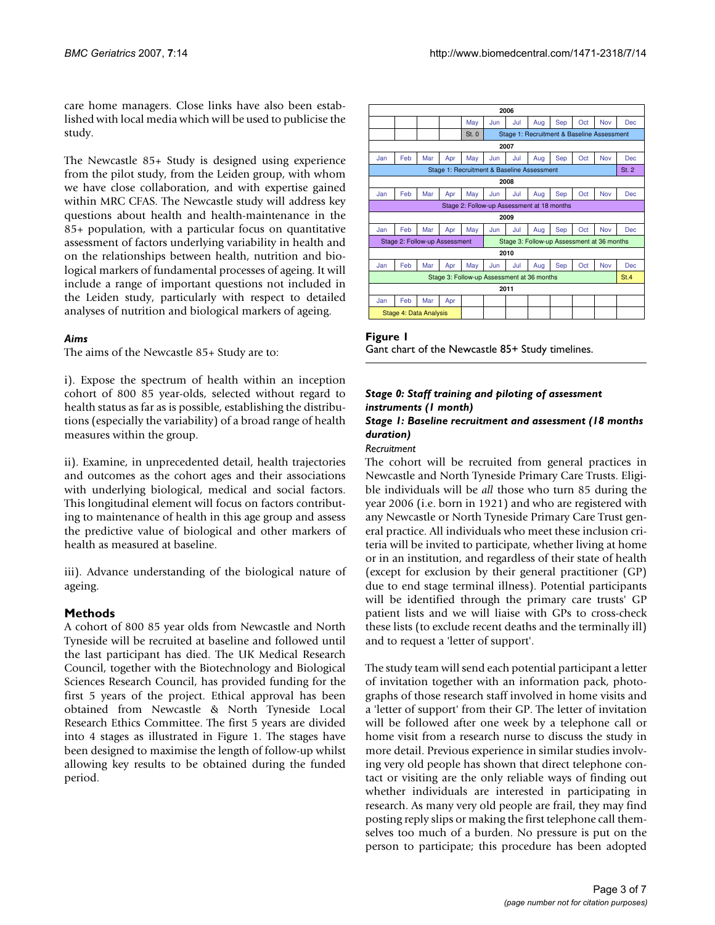care home managers. Close links have also been established with local media which will be used to publicise the study.

The Newcastle 85+ Study is designed using experience from the pilot study, from the Leiden group, with whom we have close collaboration, and with expertise gained within MRC CFAS. The Newcastle study will address key questions about health and health-maintenance in the 85+ population, with a particular focus on quantitative assessment of factors underlying variability in health and on the relationships between health, nutrition and biological markers of fundamental processes of ageing. It will include a range of important questions not included in the Leiden study, particularly with respect to detailed analyses of nutrition and biological markers of ageing.

#### *Aims*

The aims of the Newcastle 85+ Study are to:

i). Expose the spectrum of health within an inception cohort of 800 85 year-olds, selected without regard to health status as far as is possible, establishing the distributions (especially the variability) of a broad range of health measures within the group.

ii). Examine, in unprecedented detail, health trajectories and outcomes as the cohort ages and their associations with underlying biological, medical and social factors. This longitudinal element will focus on factors contributing to maintenance of health in this age group and assess the predictive value of biological and other markers of health as measured at baseline.

iii). Advance understanding of the biological nature of ageing.

#### **Methods**

A cohort of 800 85 year olds from Newcastle and North Tyneside will be recruited at baseline and followed until the last participant has died. The UK Medical Research Council, together with the Biotechnology and Biological Sciences Research Council, has provided funding for the first 5 years of the project. Ethical approval has been obtained from Newcastle & North Tyneside Local Research Ethics Committee. The first 5 years are divided into 4 stages as illustrated in Figure 1. The stages have been designed to maximise the length of follow-up whilst allowing key results to be obtained during the funded period.



#### Figure 1

Gant chart of the Newcastle 85+ Study timelines.

### *Stage 0: Staff training and piloting of assessment instruments (1 month)*

#### *Stage 1: Baseline recruitment and assessment (18 months duration)*

#### *Recruitment*

The cohort will be recruited from general practices in Newcastle and North Tyneside Primary Care Trusts. Eligible individuals will be *all* those who turn 85 during the year 2006 (i.e. born in 1921) and who are registered with any Newcastle or North Tyneside Primary Care Trust general practice. All individuals who meet these inclusion criteria will be invited to participate, whether living at home or in an institution, and regardless of their state of health (except for exclusion by their general practitioner (GP) due to end stage terminal illness). Potential participants will be identified through the primary care trusts' GP patient lists and we will liaise with GPs to cross-check these lists (to exclude recent deaths and the terminally ill) and to request a 'letter of support'.

The study team will send each potential participant a letter of invitation together with an information pack, photographs of those research staff involved in home visits and a 'letter of support' from their GP. The letter of invitation will be followed after one week by a telephone call or home visit from a research nurse to discuss the study in more detail. Previous experience in similar studies involving very old people has shown that direct telephone contact or visiting are the only reliable ways of finding out whether individuals are interested in participating in research. As many very old people are frail, they may find posting reply slips or making the first telephone call themselves too much of a burden. No pressure is put on the person to participate; this procedure has been adopted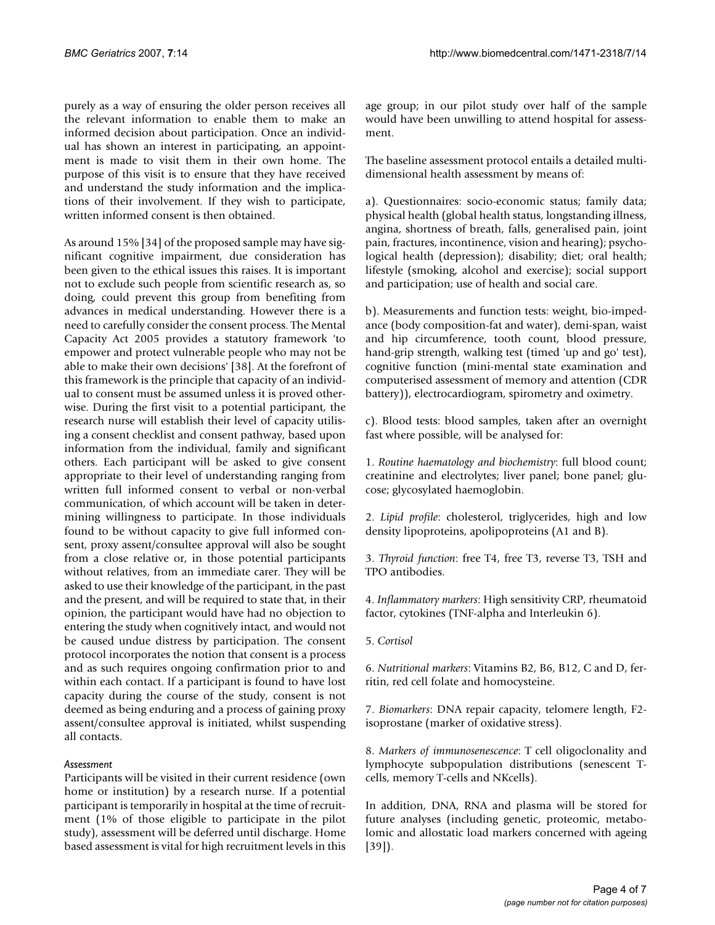purely as a way of ensuring the older person receives all the relevant information to enable them to make an informed decision about participation. Once an individual has shown an interest in participating, an appointment is made to visit them in their own home. The purpose of this visit is to ensure that they have received and understand the study information and the implications of their involvement. If they wish to participate, written informed consent is then obtained.

As around 15% [34] of the proposed sample may have significant cognitive impairment, due consideration has been given to the ethical issues this raises. It is important not to exclude such people from scientific research as, so doing, could prevent this group from benefiting from advances in medical understanding. However there is a need to carefully consider the consent process. The Mental Capacity Act 2005 provides a statutory framework 'to empower and protect vulnerable people who may not be able to make their own decisions' [38]. At the forefront of this framework is the principle that capacity of an individual to consent must be assumed unless it is proved otherwise. During the first visit to a potential participant, the research nurse will establish their level of capacity utilising a consent checklist and consent pathway, based upon information from the individual, family and significant others. Each participant will be asked to give consent appropriate to their level of understanding ranging from written full informed consent to verbal or non-verbal communication, of which account will be taken in determining willingness to participate. In those individuals found to be without capacity to give full informed consent, proxy assent/consultee approval will also be sought from a close relative or, in those potential participants without relatives, from an immediate carer. They will be asked to use their knowledge of the participant, in the past and the present, and will be required to state that, in their opinion, the participant would have had no objection to entering the study when cognitively intact, and would not be caused undue distress by participation. The consent protocol incorporates the notion that consent is a process and as such requires ongoing confirmation prior to and within each contact. If a participant is found to have lost capacity during the course of the study, consent is not deemed as being enduring and a process of gaining proxy assent/consultee approval is initiated, whilst suspending all contacts.

#### *Assessment*

Participants will be visited in their current residence (own home or institution) by a research nurse. If a potential participant is temporarily in hospital at the time of recruitment (1% of those eligible to participate in the pilot study), assessment will be deferred until discharge. Home based assessment is vital for high recruitment levels in this age group; in our pilot study over half of the sample would have been unwilling to attend hospital for assessment.

The baseline assessment protocol entails a detailed multidimensional health assessment by means of:

a). Questionnaires: socio-economic status; family data; physical health (global health status, longstanding illness, angina, shortness of breath, falls, generalised pain, joint pain, fractures, incontinence, vision and hearing); psychological health (depression); disability; diet; oral health; lifestyle (smoking, alcohol and exercise); social support and participation; use of health and social care.

b). Measurements and function tests: weight, bio-impedance (body composition-fat and water), demi-span, waist and hip circumference, tooth count, blood pressure, hand-grip strength, walking test (timed 'up and go' test), cognitive function (mini-mental state examination and computerised assessment of memory and attention (CDR battery)), electrocardiogram, spirometry and oximetry.

c). Blood tests: blood samples, taken after an overnight fast where possible, will be analysed for:

1. *Routine haematology and biochemistry*: full blood count; creatinine and electrolytes; liver panel; bone panel; glucose; glycosylated haemoglobin.

2. *Lipid profile*: cholesterol, triglycerides, high and low density lipoproteins, apolipoproteins (A1 and B).

3. *Thyroid function*: free T4, free T3, reverse T3, TSH and TPO antibodies.

4. *Inflammatory markers*: High sensitivity CRP, rheumatoid factor, cytokines (TNF-alpha and Interleukin 6).

5. *Cortisol*

6. *Nutritional markers*: Vitamins B2, B6, B12, C and D, ferritin, red cell folate and homocysteine.

7. *Biomarkers*: DNA repair capacity, telomere length, F2 isoprostane (marker of oxidative stress).

8. *Markers of immunosenescence*: T cell oligoclonality and lymphocyte subpopulation distributions (senescent Tcells, memory T-cells and NKcells).

In addition, DNA, RNA and plasma will be stored for future analyses (including genetic, proteomic, metabolomic and allostatic load markers concerned with ageing [39]).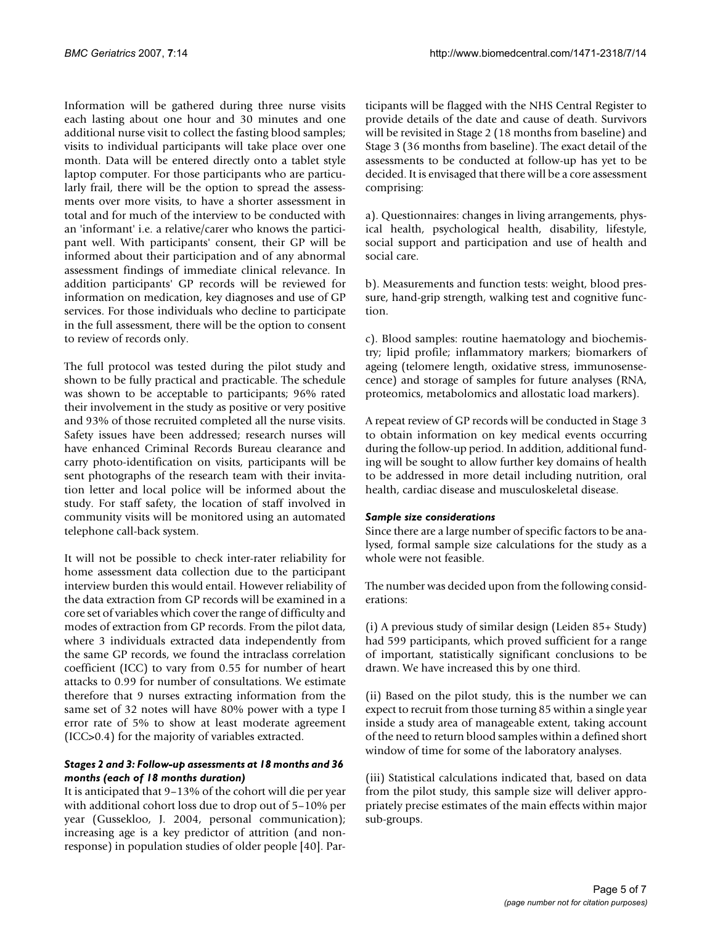Information will be gathered during three nurse visits each lasting about one hour and 30 minutes and one additional nurse visit to collect the fasting blood samples; visits to individual participants will take place over one month. Data will be entered directly onto a tablet style laptop computer. For those participants who are particularly frail, there will be the option to spread the assessments over more visits, to have a shorter assessment in total and for much of the interview to be conducted with an 'informant' i.e. a relative/carer who knows the participant well. With participants' consent, their GP will be informed about their participation and of any abnormal assessment findings of immediate clinical relevance. In addition participants' GP records will be reviewed for information on medication, key diagnoses and use of GP services. For those individuals who decline to participate in the full assessment, there will be the option to consent to review of records only.

The full protocol was tested during the pilot study and shown to be fully practical and practicable. The schedule was shown to be acceptable to participants; 96% rated their involvement in the study as positive or very positive and 93% of those recruited completed all the nurse visits. Safety issues have been addressed; research nurses will have enhanced Criminal Records Bureau clearance and carry photo-identification on visits, participants will be sent photographs of the research team with their invitation letter and local police will be informed about the study. For staff safety, the location of staff involved in community visits will be monitored using an automated telephone call-back system.

It will not be possible to check inter-rater reliability for home assessment data collection due to the participant interview burden this would entail. However reliability of the data extraction from GP records will be examined in a core set of variables which cover the range of difficulty and modes of extraction from GP records. From the pilot data, where 3 individuals extracted data independently from the same GP records, we found the intraclass correlation coefficient (ICC) to vary from 0.55 for number of heart attacks to 0.99 for number of consultations. We estimate therefore that 9 nurses extracting information from the same set of 32 notes will have 80% power with a type I error rate of 5% to show at least moderate agreement (ICC>0.4) for the majority of variables extracted.

#### *Stages 2 and 3: Follow-up assessments at 18 months and 36 months (each of 18 months duration)*

It is anticipated that 9–13% of the cohort will die per year with additional cohort loss due to drop out of 5–10% per year (Gussekloo, J. 2004, personal communication); increasing age is a key predictor of attrition (and nonresponse) in population studies of older people [40]. Participants will be flagged with the NHS Central Register to provide details of the date and cause of death. Survivors will be revisited in Stage 2 (18 months from baseline) and Stage 3 (36 months from baseline). The exact detail of the assessments to be conducted at follow-up has yet to be decided. It is envisaged that there will be a core assessment comprising:

a). Questionnaires: changes in living arrangements, physical health, psychological health, disability, lifestyle, social support and participation and use of health and social care.

b). Measurements and function tests: weight, blood pressure, hand-grip strength, walking test and cognitive function.

c). Blood samples: routine haematology and biochemistry; lipid profile; inflammatory markers; biomarkers of ageing (telomere length, oxidative stress, immunosensecence) and storage of samples for future analyses (RNA, proteomics, metabolomics and allostatic load markers).

A repeat review of GP records will be conducted in Stage 3 to obtain information on key medical events occurring during the follow-up period. In addition, additional funding will be sought to allow further key domains of health to be addressed in more detail including nutrition, oral health, cardiac disease and musculoskeletal disease.

#### *Sample size considerations*

Since there are a large number of specific factors to be analysed, formal sample size calculations for the study as a whole were not feasible.

The number was decided upon from the following considerations:

(i) A previous study of similar design (Leiden 85+ Study) had 599 participants, which proved sufficient for a range of important, statistically significant conclusions to be drawn. We have increased this by one third.

(ii) Based on the pilot study, this is the number we can expect to recruit from those turning 85 within a single year inside a study area of manageable extent, taking account of the need to return blood samples within a defined short window of time for some of the laboratory analyses.

(iii) Statistical calculations indicated that, based on data from the pilot study, this sample size will deliver appropriately precise estimates of the main effects within major sub-groups.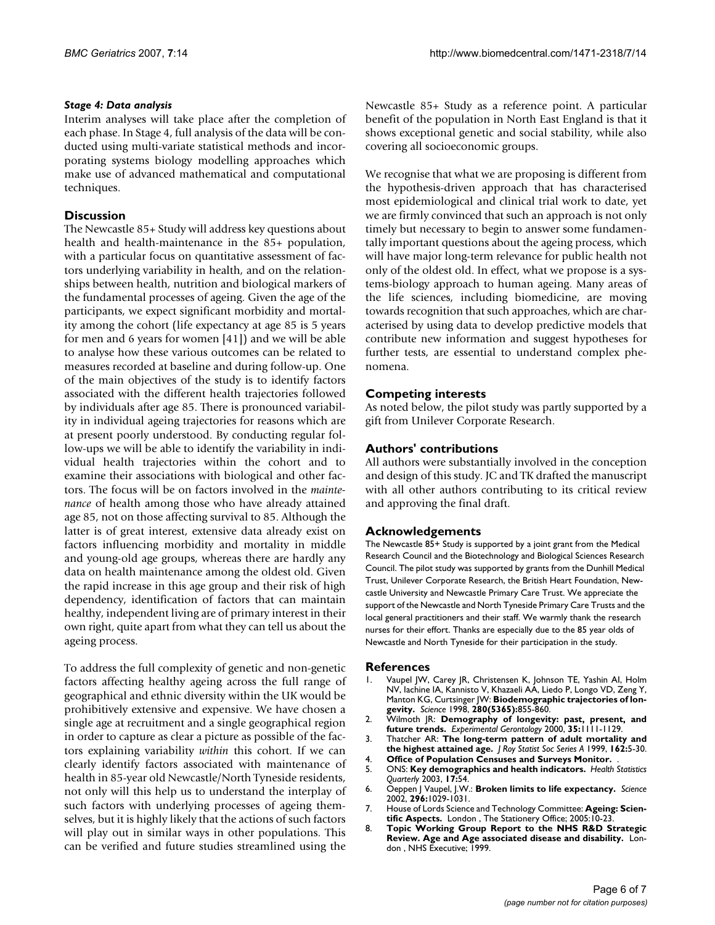#### *Stage 4: Data analysis*

Interim analyses will take place after the completion of each phase. In Stage 4, full analysis of the data will be conducted using multi-variate statistical methods and incorporating systems biology modelling approaches which make use of advanced mathematical and computational techniques.

#### **Discussion**

The Newcastle 85+ Study will address key questions about health and health-maintenance in the 85+ population, with a particular focus on quantitative assessment of factors underlying variability in health, and on the relationships between health, nutrition and biological markers of the fundamental processes of ageing. Given the age of the participants, we expect significant morbidity and mortality among the cohort (life expectancy at age 85 is 5 years for men and 6 years for women [41]) and we will be able to analyse how these various outcomes can be related to measures recorded at baseline and during follow-up. One of the main objectives of the study is to identify factors associated with the different health trajectories followed by individuals after age 85. There is pronounced variability in individual ageing trajectories for reasons which are at present poorly understood. By conducting regular follow-ups we will be able to identify the variability in individual health trajectories within the cohort and to examine their associations with biological and other factors. The focus will be on factors involved in the *maintenance* of health among those who have already attained age 85, not on those affecting survival to 85. Although the latter is of great interest, extensive data already exist on factors influencing morbidity and mortality in middle and young-old age groups, whereas there are hardly any data on health maintenance among the oldest old. Given the rapid increase in this age group and their risk of high dependency, identification of factors that can maintain healthy, independent living are of primary interest in their own right, quite apart from what they can tell us about the ageing process.

To address the full complexity of genetic and non-genetic factors affecting healthy ageing across the full range of geographical and ethnic diversity within the UK would be prohibitively extensive and expensive. We have chosen a single age at recruitment and a single geographical region in order to capture as clear a picture as possible of the factors explaining variability *within* this cohort. If we can clearly identify factors associated with maintenance of health in 85-year old Newcastle/North Tyneside residents, not only will this help us to understand the interplay of such factors with underlying processes of ageing themselves, but it is highly likely that the actions of such factors will play out in similar ways in other populations. This can be verified and future studies streamlined using the Newcastle 85+ Study as a reference point. A particular benefit of the population in North East England is that it shows exceptional genetic and social stability, while also covering all socioeconomic groups.

We recognise that what we are proposing is different from the hypothesis-driven approach that has characterised most epidemiological and clinical trial work to date, yet we are firmly convinced that such an approach is not only timely but necessary to begin to answer some fundamentally important questions about the ageing process, which will have major long-term relevance for public health not only of the oldest old. In effect, what we propose is a systems-biology approach to human ageing. Many areas of the life sciences, including biomedicine, are moving towards recognition that such approaches, which are characterised by using data to develop predictive models that contribute new information and suggest hypotheses for further tests, are essential to understand complex phenomena.

#### **Competing interests**

As noted below, the pilot study was partly supported by a gift from Unilever Corporate Research.

#### **Authors' contributions**

All authors were substantially involved in the conception and design of this study. JC and TK drafted the manuscript with all other authors contributing to its critical review and approving the final draft.

#### **Acknowledgements**

The Newcastle 85+ Study is supported by a joint grant from the Medical Research Council and the Biotechnology and Biological Sciences Research Council. The pilot study was supported by grants from the Dunhill Medical Trust, Unilever Corporate Research, the British Heart Foundation, Newcastle University and Newcastle Primary Care Trust. We appreciate the support of the Newcastle and North Tyneside Primary Care Trusts and the local general practitioners and their staff. We warmly thank the research nurses for their effort. Thanks are especially due to the 85 year olds of Newcastle and North Tyneside for their participation in the study.

#### **References**

- 1. Vaupel JW, Carey JR, Christensen K, Johnson TE, Yashin AI, Holm NV, Iachine IA, Kannisto V, Khazaeli AA, Liedo P, Longo VD, Zeng Y, Manton KG, Curtsinger JW: **[Biodemographic trajectories of lon](http://www.ncbi.nlm.nih.gov/entrez/query.fcgi?cmd=Retrieve&db=PubMed&dopt=Abstract&list_uids=9599158)[gevity.](http://www.ncbi.nlm.nih.gov/entrez/query.fcgi?cmd=Retrieve&db=PubMed&dopt=Abstract&list_uids=9599158)** *Science* 1998, **280(5365):**855-860.
- 2. Wilmoth JR: **[Demography of longevity: past, present, and](http://www.ncbi.nlm.nih.gov/entrez/query.fcgi?cmd=Retrieve&db=PubMed&dopt=Abstract&list_uids=11113596) [future trends.](http://www.ncbi.nlm.nih.gov/entrez/query.fcgi?cmd=Retrieve&db=PubMed&dopt=Abstract&list_uids=11113596)** *Experimental Gerontology* 2000, **35:**1111-1129.
- 3. Thatcher AR: **The long-term pattern of adult mortality and the highest attained age.** *J Roy Statist Soc Series A* 1999, **162:**5-30.
- 4. **Office of Population Censuses and Surveys Monitor.** . 5. ONS: **Key demographics and health indicators.** *Health Statistics*
- *Quarterly* 2003, **17:**54. 6. Oeppen J Vaupel, J.W.: **[Broken limits to life expectancy.](http://www.ncbi.nlm.nih.gov/entrez/query.fcgi?cmd=Retrieve&db=PubMed&dopt=Abstract&list_uids=12004104)** *Science* 2002, **296:**1029-1031.
- 7. House of Lords Science and Technology Committee: **Ageing: Scientific Aspects.** London , The Stationery Office; 2005:10-23.
- 8. **Topic Working Group Report to the NHS R&D Strategic Review. Age and Age associated disease and disability.** London, NHS Executive; 1999.